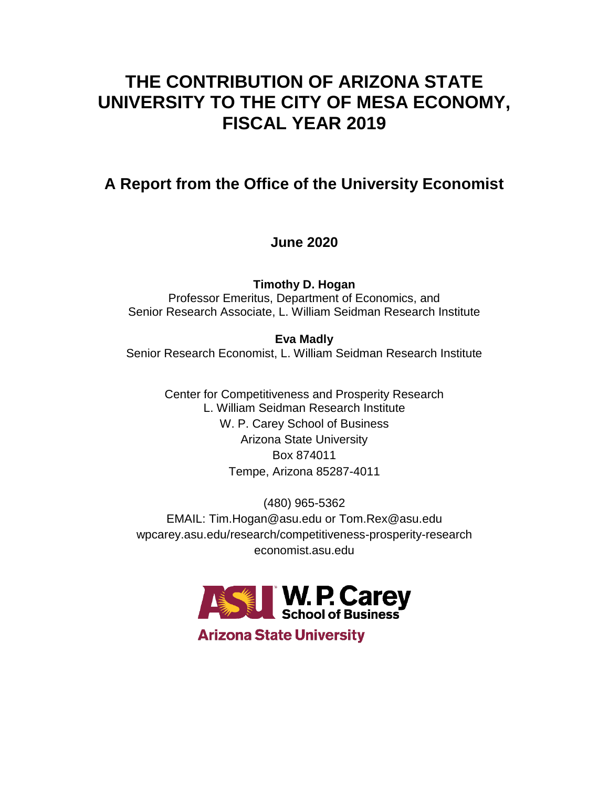# **THE CONTRIBUTION OF ARIZONA STATE UNIVERSITY TO THE CITY OF MESA ECONOMY, FISCAL YEAR 2019**

## **A Report from the Office of the University Economist**

## **June 2020**

**Timothy D. Hogan** Professor Emeritus, Department of Economics, and Senior Research Associate, L. William Seidman Research Institute

**Eva Madly** Senior Research Economist, L. William Seidman Research Institute

> Center for Competitiveness and Prosperity Research L. William Seidman Research Institute W. P. Carey School of Business Arizona State University Box 874011 Tempe, Arizona 85287-4011

(480) 965-5362 EMAIL: Tim.Hogan@asu.edu or Tom.Rex@asu.edu wpcarey.asu.edu/research/competitiveness-prosperity-research economist.asu.edu



**Arizona State University**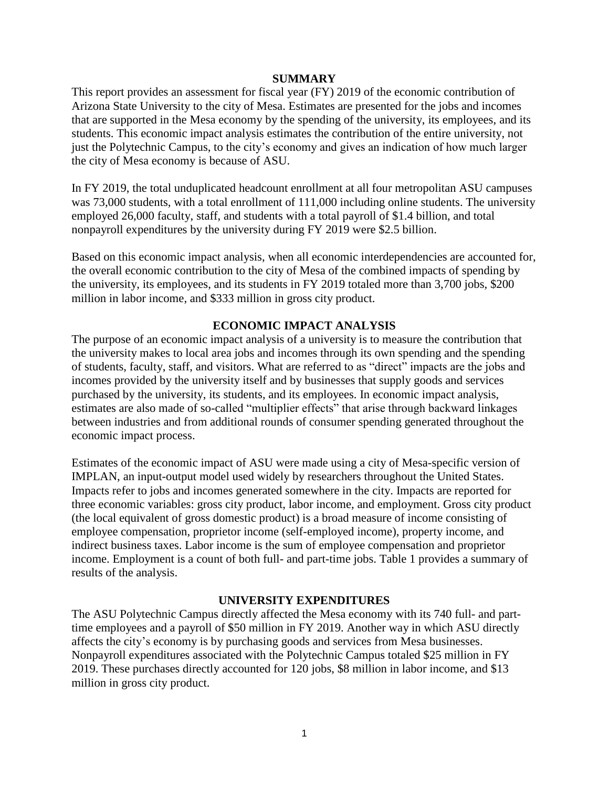#### **SUMMARY**

This report provides an assessment for fiscal year (FY) 2019 of the economic contribution of Arizona State University to the city of Mesa. Estimates are presented for the jobs and incomes that are supported in the Mesa economy by the spending of the university, its employees, and its students. This economic impact analysis estimates the contribution of the entire university, not just the Polytechnic Campus, to the city's economy and gives an indication of how much larger the city of Mesa economy is because of ASU.

In FY 2019, the total unduplicated headcount enrollment at all four metropolitan ASU campuses was 73,000 students, with a total enrollment of 111,000 including online students. The university employed 26,000 faculty, staff, and students with a total payroll of \$1.4 billion, and total nonpayroll expenditures by the university during FY 2019 were \$2.5 billion.

Based on this economic impact analysis, when all economic interdependencies are accounted for, the overall economic contribution to the city of Mesa of the combined impacts of spending by the university, its employees, and its students in FY 2019 totaled more than 3,700 jobs, \$200 million in labor income, and \$333 million in gross city product.

## **ECONOMIC IMPACT ANALYSIS**

The purpose of an economic impact analysis of a university is to measure the contribution that the university makes to local area jobs and incomes through its own spending and the spending of students, faculty, staff, and visitors. What are referred to as "direct" impacts are the jobs and incomes provided by the university itself and by businesses that supply goods and services purchased by the university, its students, and its employees. In economic impact analysis, estimates are also made of so-called "multiplier effects" that arise through backward linkages between industries and from additional rounds of consumer spending generated throughout the economic impact process.

Estimates of the economic impact of ASU were made using a city of Mesa-specific version of IMPLAN, an input-output model used widely by researchers throughout the United States. Impacts refer to jobs and incomes generated somewhere in the city. Impacts are reported for three economic variables: gross city product, labor income, and employment. Gross city product (the local equivalent of gross domestic product) is a broad measure of income consisting of employee compensation, proprietor income (self-employed income), property income, and indirect business taxes. Labor income is the sum of employee compensation and proprietor income. Employment is a count of both full- and part-time jobs. Table 1 provides a summary of results of the analysis.

#### **UNIVERSITY EXPENDITURES**

The ASU Polytechnic Campus directly affected the Mesa economy with its 740 full- and parttime employees and a payroll of \$50 million in FY 2019. Another way in which ASU directly affects the city's economy is by purchasing goods and services from Mesa businesses. Nonpayroll expenditures associated with the Polytechnic Campus totaled \$25 million in FY 2019. These purchases directly accounted for 120 jobs, \$8 million in labor income, and \$13 million in gross city product.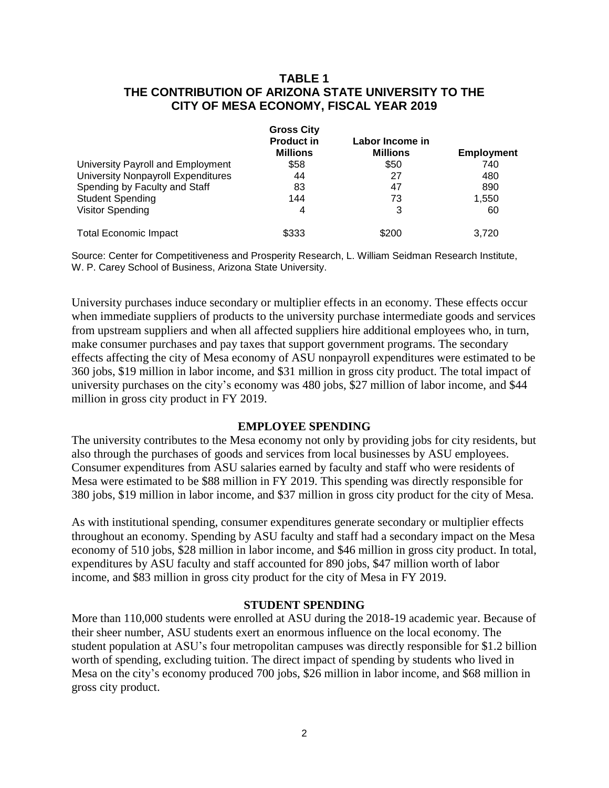## **TABLE 1 THE CONTRIBUTION OF ARIZONA STATE UNIVERSITY TO THE CITY OF MESA ECONOMY, FISCAL YEAR 2019**

|                                           | <b>Gross City</b> | Labor Income in |                   |
|-------------------------------------------|-------------------|-----------------|-------------------|
|                                           | <b>Product in</b> |                 |                   |
|                                           | <b>Millions</b>   | <b>Millions</b> | <b>Employment</b> |
| University Payroll and Employment         | \$58              | \$50            | 740               |
| <b>University Nonpayroll Expenditures</b> | 44                | 27              | 480               |
| Spending by Faculty and Staff             | 83                | 47              | 890               |
| <b>Student Spending</b>                   | 144               | 73              | 1,550             |
| Visitor Spending                          | 4                 | 3               | 60                |
| <b>Total Economic Impact</b>              | \$333             | \$200           | 3.720             |

Source: Center for Competitiveness and Prosperity Research, L. William Seidman Research Institute, W. P. Carey School of Business, Arizona State University.

University purchases induce secondary or multiplier effects in an economy. These effects occur when immediate suppliers of products to the university purchase intermediate goods and services from upstream suppliers and when all affected suppliers hire additional employees who, in turn, make consumer purchases and pay taxes that support government programs. The secondary effects affecting the city of Mesa economy of ASU nonpayroll expenditures were estimated to be 360 jobs, \$19 million in labor income, and \$31 million in gross city product. The total impact of university purchases on the city's economy was 480 jobs, \$27 million of labor income, and \$44 million in gross city product in FY 2019.

## **EMPLOYEE SPENDING**

The university contributes to the Mesa economy not only by providing jobs for city residents, but also through the purchases of goods and services from local businesses by ASU employees. Consumer expenditures from ASU salaries earned by faculty and staff who were residents of Mesa were estimated to be \$88 million in FY 2019. This spending was directly responsible for 380 jobs, \$19 million in labor income, and \$37 million in gross city product for the city of Mesa.

As with institutional spending, consumer expenditures generate secondary or multiplier effects throughout an economy. Spending by ASU faculty and staff had a secondary impact on the Mesa economy of 510 jobs, \$28 million in labor income, and \$46 million in gross city product. In total, expenditures by ASU faculty and staff accounted for 890 jobs, \$47 million worth of labor income, and \$83 million in gross city product for the city of Mesa in FY 2019.

#### **STUDENT SPENDING**

More than 110,000 students were enrolled at ASU during the 2018-19 academic year. Because of their sheer number, ASU students exert an enormous influence on the local economy. The student population at ASU's four metropolitan campuses was directly responsible for \$1.2 billion worth of spending, excluding tuition. The direct impact of spending by students who lived in Mesa on the city's economy produced 700 jobs, \$26 million in labor income, and \$68 million in gross city product.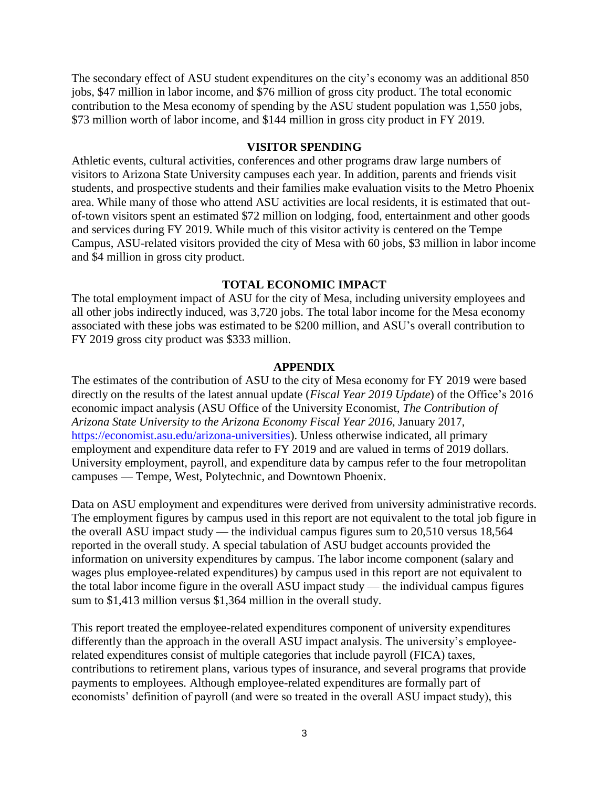The secondary effect of ASU student expenditures on the city's economy was an additional 850 jobs, \$47 million in labor income, and \$76 million of gross city product. The total economic contribution to the Mesa economy of spending by the ASU student population was 1,550 jobs, \$73 million worth of labor income, and \$144 million in gross city product in FY 2019.

### **VISITOR SPENDING**

Athletic events, cultural activities, conferences and other programs draw large numbers of visitors to Arizona State University campuses each year. In addition, parents and friends visit students, and prospective students and their families make evaluation visits to the Metro Phoenix area. While many of those who attend ASU activities are local residents, it is estimated that outof-town visitors spent an estimated \$72 million on lodging, food, entertainment and other goods and services during FY 2019. While much of this visitor activity is centered on the Tempe Campus, ASU-related visitors provided the city of Mesa with 60 jobs, \$3 million in labor income and \$4 million in gross city product.

## **TOTAL ECONOMIC IMPACT**

The total employment impact of ASU for the city of Mesa, including university employees and all other jobs indirectly induced, was 3,720 jobs. The total labor income for the Mesa economy associated with these jobs was estimated to be \$200 million, and ASU's overall contribution to FY 2019 gross city product was \$333 million.

#### **APPENDIX**

The estimates of the contribution of ASU to the city of Mesa economy for FY 2019 were based directly on the results of the latest annual update (*Fiscal Year 2019 Update*) of the Office's 2016 economic impact analysis (ASU Office of the University Economist, *The Contribution of Arizona State University to the Arizona Economy Fiscal Year 2016*, January 2017, [https://economist.asu.edu/arizona-universities\)](https://economist.asu.edu/arizona-universities). Unless otherwise indicated, all primary employment and expenditure data refer to FY 2019 and are valued in terms of 2019 dollars. University employment, payroll, and expenditure data by campus refer to the four metropolitan campuses — Tempe, West, Polytechnic, and Downtown Phoenix.

Data on ASU employment and expenditures were derived from university administrative records. The employment figures by campus used in this report are not equivalent to the total job figure in the overall ASU impact study — the individual campus figures sum to 20,510 versus 18,564 reported in the overall study. A special tabulation of ASU budget accounts provided the information on university expenditures by campus. The labor income component (salary and wages plus employee-related expenditures) by campus used in this report are not equivalent to the total labor income figure in the overall ASU impact study — the individual campus figures sum to \$1,413 million versus \$1,364 million in the overall study.

This report treated the employee-related expenditures component of university expenditures differently than the approach in the overall ASU impact analysis. The university's employeerelated expenditures consist of multiple categories that include payroll (FICA) taxes, contributions to retirement plans, various types of insurance, and several programs that provide payments to employees. Although employee-related expenditures are formally part of economists' definition of payroll (and were so treated in the overall ASU impact study), this